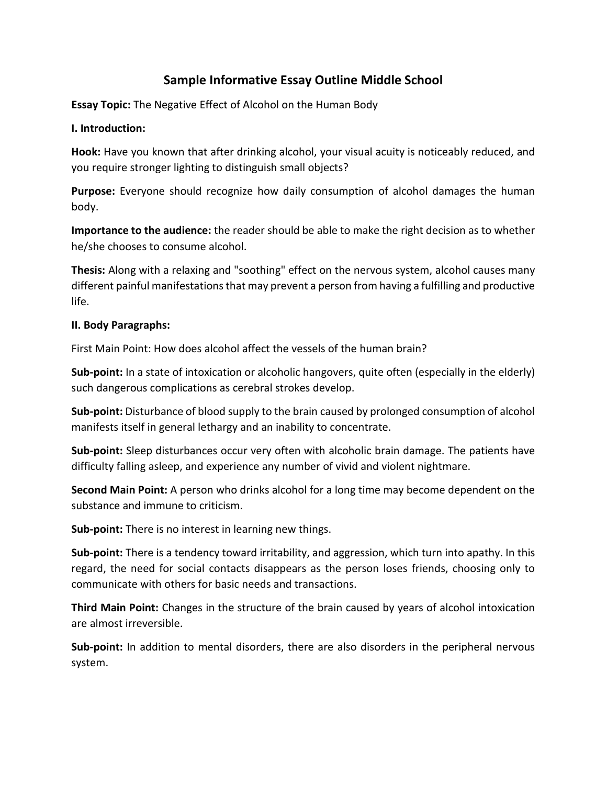## **Sample Informative Essay Outline Middle School**

**Essay Topic:** The Negative Effect of Alcohol on the Human Body

## **I. Introduction:**

**Hook:** Have you known that after drinking alcohol, your visual acuity is noticeably reduced, and you require stronger lighting to distinguish small objects?

**Purpose:** Everyone should recognize how daily consumption of alcohol damages the human body.

**Importance to the audience:** the reader should be able to make the right decision as to whether he/she chooses to consume alcohol.

**Thesis:** Along with a relaxing and "soothing" effect on the nervous system, alcohol causes many different painful manifestations that may prevent a person from having a fulfilling and productive life.

## **II. Body Paragraphs:**

First Main Point: How does alcohol affect the vessels of the human brain?

**Sub-point:** In a state of intoxication or alcoholic hangovers, quite often (especially in the elderly) such dangerous complications as cerebral strokes develop.

**Sub-point:** Disturbance of blood supply to the brain caused by prolonged consumption of alcohol manifests itself in general lethargy and an inability to concentrate.

**Sub-point:** Sleep disturbances occur very often with alcoholic brain damage. The patients have difficulty falling asleep, and experience any number of vivid and violent nightmare.

**Second Main Point:** A person who drinks alcohol for a long time may become dependent on the substance and immune to criticism.

**Sub-point:** There is no interest in learning new things.

**Sub-point:** There is a tendency toward irritability, and aggression, which turn into apathy. In this regard, the need for social contacts disappears as the person loses friends, choosing only to communicate with others for basic needs and transactions.

**Third Main Point:** Changes in the structure of the brain caused by years of alcohol intoxication are almost irreversible.

**Sub-point:** In addition to mental disorders, there are also disorders in the peripheral nervous system.